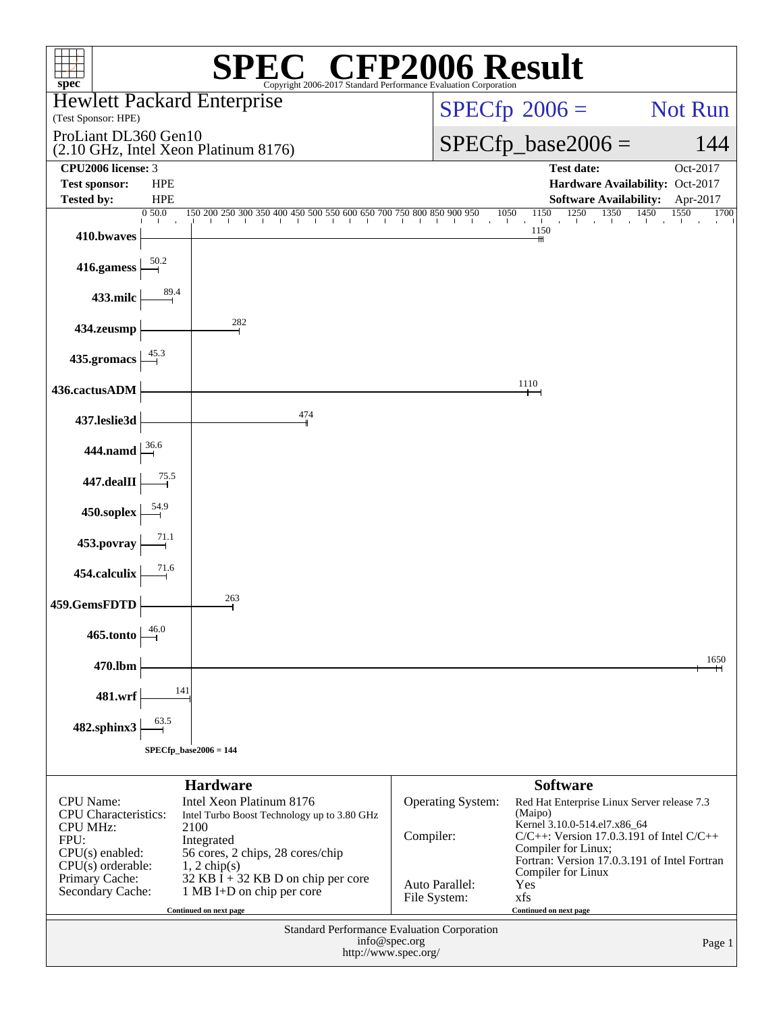| $spec^*$                                                                                       |            |                                                                                                                                                                                                                                                                                                                                               | $\mathbb{C}^{\circledast}$ CFP2006 Result |                                                                               |                                             |  |
|------------------------------------------------------------------------------------------------|------------|-----------------------------------------------------------------------------------------------------------------------------------------------------------------------------------------------------------------------------------------------------------------------------------------------------------------------------------------------|-------------------------------------------|-------------------------------------------------------------------------------|---------------------------------------------|--|
|                                                                                                |            | Copyright 2006-2017 Standard Performance Evaluation Corporation<br><b>Hewlett Packard Enterprise</b>                                                                                                                                                                                                                                          |                                           | $SPECfp^{\circledast}2006 =$                                                  | Not Run                                     |  |
| (Test Sponsor: HPE)                                                                            |            |                                                                                                                                                                                                                                                                                                                                               |                                           |                                                                               |                                             |  |
| ProLiant DL360 Gen10<br>(2.10 GHz, Intel Xeon Platinum 8176)                                   |            |                                                                                                                                                                                                                                                                                                                                               |                                           | $SPECfp\_base2006 =$                                                          | 144                                         |  |
| CPU2006 license: 3<br><b>Test sponsor:</b>                                                     | <b>HPE</b> |                                                                                                                                                                                                                                                                                                                                               |                                           | Test date:                                                                    | Oct-2017<br>Hardware Availability: Oct-2017 |  |
| Tested by:                                                                                     | <b>HPE</b> |                                                                                                                                                                                                                                                                                                                                               |                                           | <b>Software Availability:</b>                                                 | Apr-2017                                    |  |
|                                                                                                | 0.50.0     | $\frac{150\ 200\ 250\ 300\ 350\ 400\ 450\ 500\ 550\ 600\ 650\ 700\ 750\ 800\ 850\ 900\ 950}{ } \quad \frac{1050}{ } \quad \frac{1150}{ } \quad \frac{1250}{ } \quad \frac{1350}{ } \quad \frac{1450}{ } \quad \frac{155}{ } \quad \frac{155}{ } \quad \frac{155}{ } \quad \frac{155}{ } \quad \frac{155}{ } \quad \frac{155}{ } \quad \frac{$ |                                           |                                                                               | 1550<br>1700                                |  |
| 410.bwaves                                                                                     |            |                                                                                                                                                                                                                                                                                                                                               |                                           | 1150                                                                          |                                             |  |
| 416.gamess                                                                                     |            |                                                                                                                                                                                                                                                                                                                                               |                                           |                                                                               |                                             |  |
| 433.milc                                                                                       |            |                                                                                                                                                                                                                                                                                                                                               |                                           |                                                                               |                                             |  |
| 434.zeusmp                                                                                     |            | 282                                                                                                                                                                                                                                                                                                                                           |                                           |                                                                               |                                             |  |
| 435.gromacs                                                                                    |            |                                                                                                                                                                                                                                                                                                                                               |                                           |                                                                               |                                             |  |
| 436.cactusADM                                                                                  |            |                                                                                                                                                                                                                                                                                                                                               |                                           | 1110                                                                          |                                             |  |
| 437.leslie3d                                                                                   |            | 474                                                                                                                                                                                                                                                                                                                                           |                                           |                                                                               |                                             |  |
| 444.namd $\left  \frac{36.6}{ } \right $                                                       |            |                                                                                                                                                                                                                                                                                                                                               |                                           |                                                                               |                                             |  |
| $447$ .dealII                                                                                  |            |                                                                                                                                                                                                                                                                                                                                               |                                           |                                                                               |                                             |  |
| 450.soplex $\frac{54.5}{1}$                                                                    |            |                                                                                                                                                                                                                                                                                                                                               |                                           |                                                                               |                                             |  |
| 453. povray                                                                                    |            |                                                                                                                                                                                                                                                                                                                                               |                                           |                                                                               |                                             |  |
| 454.calculix                                                                                   |            |                                                                                                                                                                                                                                                                                                                                               |                                           |                                                                               |                                             |  |
| 459.GemsFDTD                                                                                   |            | 263                                                                                                                                                                                                                                                                                                                                           |                                           |                                                                               |                                             |  |
| $465$ .tonto                                                                                   | 46.0       |                                                                                                                                                                                                                                                                                                                                               |                                           |                                                                               |                                             |  |
| 470.lbm                                                                                        |            |                                                                                                                                                                                                                                                                                                                                               |                                           |                                                                               | 1650                                        |  |
| 481.wrf                                                                                        | 141        |                                                                                                                                                                                                                                                                                                                                               |                                           |                                                                               |                                             |  |
| 482.sphinx3                                                                                    |            |                                                                                                                                                                                                                                                                                                                                               |                                           |                                                                               |                                             |  |
| $SPECfp\_base2006 = 144$                                                                       |            |                                                                                                                                                                                                                                                                                                                                               |                                           |                                                                               |                                             |  |
|                                                                                                |            | <b>Hardware</b>                                                                                                                                                                                                                                                                                                                               |                                           | <b>Software</b>                                                               |                                             |  |
| <b>CPU</b> Name:<br><b>CPU</b> Characteristics:                                                |            | Intel Xeon Platinum 8176<br>Intel Turbo Boost Technology up to 3.80 GHz                                                                                                                                                                                                                                                                       | Operating System:                         | Red Hat Enterprise Linux Server release 7.3<br>(Maipo)                        |                                             |  |
| <b>CPU MHz:</b>                                                                                |            | 2100                                                                                                                                                                                                                                                                                                                                          | Compiler:                                 | Kernel 3.10.0-514.el7.x86_64<br>$C/C++$ : Version 17.0.3.191 of Intel $C/C++$ |                                             |  |
| FPU:<br>$CPU(s)$ enabled:                                                                      |            | Integrated<br>56 cores, 2 chips, 28 cores/chip                                                                                                                                                                                                                                                                                                |                                           | Compiler for Linux;                                                           |                                             |  |
| $CPU(s)$ orderable:<br>Primary Cache:                                                          |            | $1, 2$ chip(s)<br>32 KB $\bar{I}$ + 32 KB D on chip per core                                                                                                                                                                                                                                                                                  |                                           | Fortran: Version 17.0.3.191 of Intel Fortran<br>Compiler for Linux            |                                             |  |
| Secondary Cache:                                                                               |            | 1 MB I+D on chip per core                                                                                                                                                                                                                                                                                                                     | Auto Parallel:<br>File System:            | Yes<br>xfs                                                                    |                                             |  |
| Continued on next page<br>Continued on next page                                               |            |                                                                                                                                                                                                                                                                                                                                               |                                           |                                                                               |                                             |  |
| Standard Performance Evaluation Corporation<br>info@spec.org<br>Page 1<br>http://www.spec.org/ |            |                                                                                                                                                                                                                                                                                                                                               |                                           |                                                                               |                                             |  |
|                                                                                                |            |                                                                                                                                                                                                                                                                                                                                               |                                           |                                                                               |                                             |  |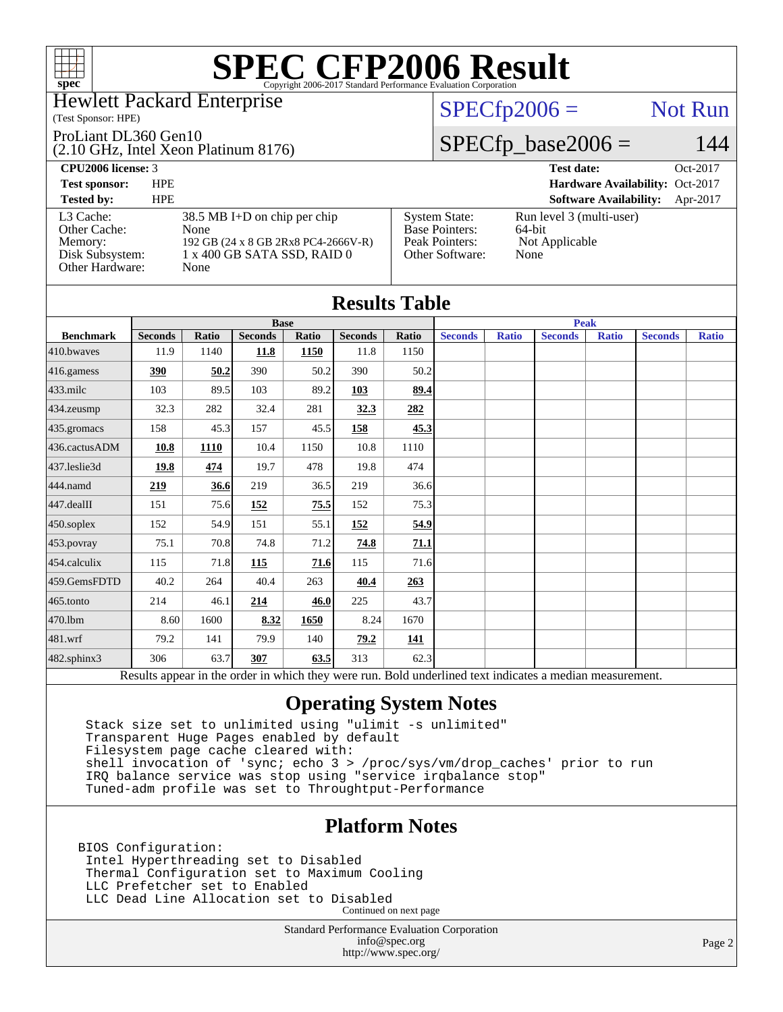

### Hewlett Packard Enterprise

#### (Test Sponsor: HPE)

#### ProLiant DL360 Gen10

(2.10 GHz, Intel Xeon Platinum 8176)

## $SPECfp2006 =$  Not Run

## $SPECfp\_base2006 = 144$

| <b>CPU2006</b> license: 3                                                  |                                                                                                                      |                                                                                    | <b>Test date:</b><br>Oct-2017                                |
|----------------------------------------------------------------------------|----------------------------------------------------------------------------------------------------------------------|------------------------------------------------------------------------------------|--------------------------------------------------------------|
| <b>Test sponsor:</b>                                                       | <b>HPE</b>                                                                                                           |                                                                                    | Hardware Availability: Oct-2017                              |
| <b>Tested by:</b>                                                          | <b>HPE</b>                                                                                                           |                                                                                    | <b>Software Availability:</b><br>Apr-2017                    |
| L3 Cache:<br>Other Cache:<br>Memory:<br>Disk Subsystem:<br>Other Hardware: | $38.5$ MB I+D on chip per chip<br>None<br>192 GB (24 x 8 GB 2Rx8 PC4-2666V-R)<br>1 x 400 GB SATA SSD, RAID 0<br>None | <b>System State:</b><br><b>Base Pointers:</b><br>Peak Pointers:<br>Other Software: | Run level 3 (multi-user)<br>64-bit<br>Not Applicable<br>None |

|                   |                |              |                |             | <b>Results Table</b> |             |                |              |                                                                                                          |              |                |              |
|-------------------|----------------|--------------|----------------|-------------|----------------------|-------------|----------------|--------------|----------------------------------------------------------------------------------------------------------|--------------|----------------|--------------|
|                   | <b>Base</b>    |              |                | <b>Peak</b> |                      |             |                |              |                                                                                                          |              |                |              |
| <b>Benchmark</b>  | <b>Seconds</b> | <b>Ratio</b> | <b>Seconds</b> | Ratio       | <b>Seconds</b>       | Ratio       | <b>Seconds</b> | <b>Ratio</b> | <b>Seconds</b>                                                                                           | <b>Ratio</b> | <b>Seconds</b> | <b>Ratio</b> |
| $410$ .bwayes     | 11.9           | 1140         | 11.8           | 1150        | 11.8                 | 1150        |                |              |                                                                                                          |              |                |              |
| 416.gamess        | 390            | 50.2         | 390            | 50.2        | 390                  | 50.2        |                |              |                                                                                                          |              |                |              |
| $433$ .milc       | 103            | 89.5         | 103            | 89.2        | 103                  | 89.4        |                |              |                                                                                                          |              |                |              |
| $434$ . zeusmp    | 32.3           | 282          | 32.4           | 281         | 32.3                 | 282         |                |              |                                                                                                          |              |                |              |
| 435.gromacs       | 158            | 45.3         | 157            | 45.5        | 158                  | 45.3        |                |              |                                                                                                          |              |                |              |
| 436.cactusADM     | 10.8           | 1110         | 10.4           | 1150        | 10.8                 | 1110        |                |              |                                                                                                          |              |                |              |
| 437.leslie3d      | 19.8           | 474          | 19.7           | 478         | 19.8                 | 474         |                |              |                                                                                                          |              |                |              |
| 444.namd          | 219            | 36.6         | 219            | 36.5        | 219                  | 36.6        |                |              |                                                                                                          |              |                |              |
| 447.dealII        | 151            | 75.6         | 152            | 75.5        | 152                  | 75.3        |                |              |                                                                                                          |              |                |              |
| $450$ .soplex     | 152            | 54.9         | 151            | 55.1        | <u>152</u>           | <u>54.9</u> |                |              |                                                                                                          |              |                |              |
| 453.povray        | 75.1           | 70.8         | 74.8           | 71.2        | 74.8                 | 71.1        |                |              |                                                                                                          |              |                |              |
| 454.calculix      | 115            | 71.8         | 115            | 71.6        | 115                  | 71.6        |                |              |                                                                                                          |              |                |              |
| 459.GemsFDTD      | 40.2           | 264          | 40.4           | 263         | 40.4                 | 263         |                |              |                                                                                                          |              |                |              |
| $465$ .tonto      | 214            | 46.1         | 214            | 46.0        | 225                  | 43.7        |                |              |                                                                                                          |              |                |              |
| 470.1bm           | 8.60           | 1600         | 8.32           | 1650        | 8.24                 | 1670        |                |              |                                                                                                          |              |                |              |
| 481.wrf           | 79.2           | 141          | 79.9           | 140         | 79.2                 | <u>141</u>  |                |              |                                                                                                          |              |                |              |
| $482$ .sphinx $3$ | 306            | 63.7         | 307            | 63.5        | 313                  | 62.3        |                |              |                                                                                                          |              |                |              |
|                   |                |              |                |             |                      |             |                |              | Results appear in the order in which they were run. Bold underlined text indicates a median measurement. |              |                |              |

## **[Operating System Notes](http://www.spec.org/auto/cpu2006/Docs/result-fields.html#OperatingSystemNotes)**

 Stack size set to unlimited using "ulimit -s unlimited" Transparent Huge Pages enabled by default Filesystem page cache cleared with: shell invocation of 'sync; echo 3 > /proc/sys/vm/drop\_caches' prior to run IRQ balance service was stop using "service irqbalance stop" Tuned-adm profile was set to Throughtput-Performance

## **[Platform Notes](http://www.spec.org/auto/cpu2006/Docs/result-fields.html#PlatformNotes)**

BIOS Configuration: Intel Hyperthreading set to Disabled Thermal Configuration set to Maximum Cooling LLC Prefetcher set to Enabled LLC Dead Line Allocation set to Disabled Continued on next page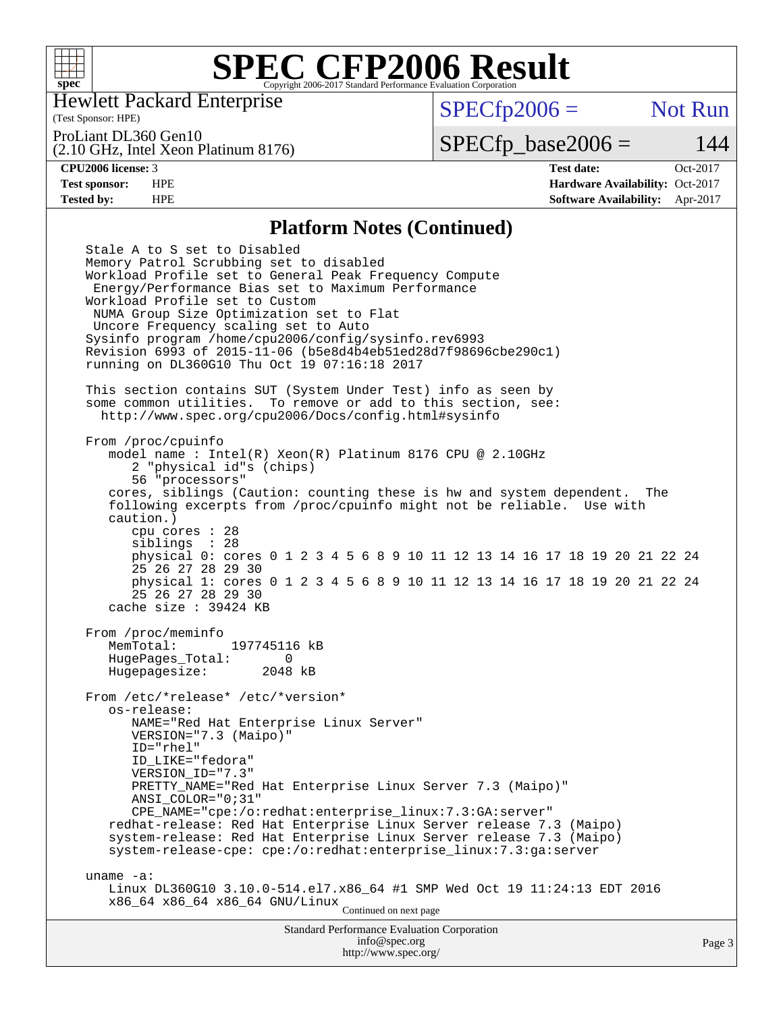

Hewlett Packard Enterprise

(Test Sponsor: HPE)

 $SPECfp2006 =$  Not Run

ProLiant DL360 Gen10

(2.10 GHz, Intel Xeon Platinum 8176)

 $SPECfp\_base2006 = 144$ 

**[CPU2006 license:](http://www.spec.org/auto/cpu2006/Docs/result-fields.html#CPU2006license)** 3 **[Test date:](http://www.spec.org/auto/cpu2006/Docs/result-fields.html#Testdate)** Oct-2017 **[Test sponsor:](http://www.spec.org/auto/cpu2006/Docs/result-fields.html#Testsponsor)** HPE **[Hardware Availability:](http://www.spec.org/auto/cpu2006/Docs/result-fields.html#HardwareAvailability)** Oct-2017 **[Tested by:](http://www.spec.org/auto/cpu2006/Docs/result-fields.html#Testedby)** HPE **[Software Availability:](http://www.spec.org/auto/cpu2006/Docs/result-fields.html#SoftwareAvailability)** Apr-2017

### **[Platform Notes \(Continued\)](http://www.spec.org/auto/cpu2006/Docs/result-fields.html#PlatformNotes)**

Standard Performance Evaluation Corporation [info@spec.org](mailto:info@spec.org) Stale A to S set to Disabled Memory Patrol Scrubbing set to disabled Workload Profile set to General Peak Frequency Compute Energy/Performance Bias set to Maximum Performance Workload Profile set to Custom NUMA Group Size Optimization set to Flat Uncore Frequency scaling set to Auto Sysinfo program /home/cpu2006/config/sysinfo.rev6993 Revision 6993 of 2015-11-06 (b5e8d4b4eb51ed28d7f98696cbe290c1) running on DL360G10 Thu Oct 19 07:16:18 2017 This section contains SUT (System Under Test) info as seen by some common utilities. To remove or add to this section, see: <http://www.spec.org/cpu2006/Docs/config.html#sysinfo> From /proc/cpuinfo model name : Intel(R) Xeon(R) Platinum 8176 CPU @ 2.10GHz 2 "physical id"s (chips) 56 "processors" cores, siblings (Caution: counting these is hw and system dependent. The following excerpts from /proc/cpuinfo might not be reliable. Use with caution.) cpu cores : 28 siblings : 28 physical 0: cores 0 1 2 3 4 5 6 8 9 10 11 12 13 14 16 17 18 19 20 21 22 24 25 26 27 28 29 30 physical 1: cores 0 1 2 3 4 5 6 8 9 10 11 12 13 14 16 17 18 19 20 21 22 24 25 26 27 28 29 30 cache size : 39424 KB From /proc/meminfo MemTotal: 197745116 kB HugePages\_Total: 0 Hugepagesize: 2048 kB From /etc/\*release\* /etc/\*version\* os-release: NAME="Red Hat Enterprise Linux Server" VERSION="7.3 (Maipo)" ID="rhel" ID\_LIKE="fedora" VERSION\_ID="7.3" PRETTY\_NAME="Red Hat Enterprise Linux Server 7.3 (Maipo)" ANSI\_COLOR="0;31" CPE\_NAME="cpe:/o:redhat:enterprise\_linux:7.3:GA:server" redhat-release: Red Hat Enterprise Linux Server release 7.3 (Maipo) system-release: Red Hat Enterprise Linux Server release 7.3 (Maipo) system-release-cpe: cpe:/o:redhat:enterprise\_linux:7.3:ga:server uname -a: Linux DL360G10 3.10.0-514.el7.x86\_64 #1 SMP Wed Oct 19 11:24:13 EDT 2016 x86\_64 x86\_64 x86\_64 GNU/Linux Continued on next page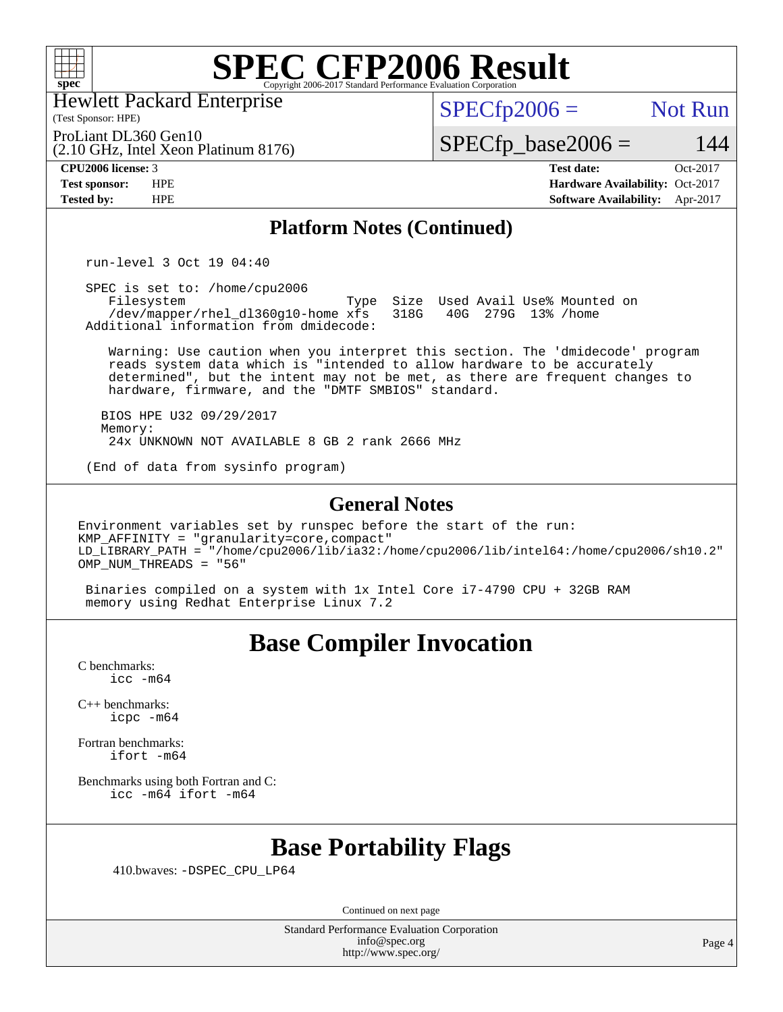

Hewlett Packard Enterprise

(2.10 GHz, Intel Xeon Platinum 8176)

(Test Sponsor: HPE)

 $SPECTp2006 =$  Not Run

ProLiant DL360 Gen10

 $SPECfp\_base2006 = 144$ 

**[CPU2006 license:](http://www.spec.org/auto/cpu2006/Docs/result-fields.html#CPU2006license)** 3 **[Test date:](http://www.spec.org/auto/cpu2006/Docs/result-fields.html#Testdate)** Oct-2017 **[Test sponsor:](http://www.spec.org/auto/cpu2006/Docs/result-fields.html#Testsponsor)** HPE **[Hardware Availability:](http://www.spec.org/auto/cpu2006/Docs/result-fields.html#HardwareAvailability)** Oct-2017 **[Tested by:](http://www.spec.org/auto/cpu2006/Docs/result-fields.html#Testedby)** HPE **[Software Availability:](http://www.spec.org/auto/cpu2006/Docs/result-fields.html#SoftwareAvailability)** Apr-2017

### **[Platform Notes \(Continued\)](http://www.spec.org/auto/cpu2006/Docs/result-fields.html#PlatformNotes)**

run-level 3 Oct 19 04:40

 SPEC is set to: /home/cpu2006 Type Size Used Avail Use% Mounted on<br>xfs 318G 40G 279G 13% /home /dev/mapper/rhel\_dl360g10-home xfs Additional information from dmidecode:

 Warning: Use caution when you interpret this section. The 'dmidecode' program reads system data which is "intended to allow hardware to be accurately determined", but the intent may not be met, as there are frequent changes to hardware, firmware, and the "DMTF SMBIOS" standard.

 BIOS HPE U32 09/29/2017 Memory: 24x UNKNOWN NOT AVAILABLE 8 GB 2 rank 2666 MHz

(End of data from sysinfo program)

#### **[General Notes](http://www.spec.org/auto/cpu2006/Docs/result-fields.html#GeneralNotes)**

Environment variables set by runspec before the start of the run: KMP\_AFFINITY = "granularity=core,compact" LD\_LIBRARY\_PATH = "/home/cpu2006/lib/ia32:/home/cpu2006/lib/intel64:/home/cpu2006/sh10.2" OMP NUM THREADS = "56"

 Binaries compiled on a system with 1x Intel Core i7-4790 CPU + 32GB RAM memory using Redhat Enterprise Linux 7.2

## **[Base Compiler Invocation](http://www.spec.org/auto/cpu2006/Docs/result-fields.html#BaseCompilerInvocation)**

[C benchmarks](http://www.spec.org/auto/cpu2006/Docs/result-fields.html#Cbenchmarks): [icc -m64](http://www.spec.org/cpu2006/results/res2017q4/cpu2006-20171031-50485.flags.html#user_CCbase_intel_icc_64bit_bda6cc9af1fdbb0edc3795bac97ada53)

[C++ benchmarks:](http://www.spec.org/auto/cpu2006/Docs/result-fields.html#CXXbenchmarks) [icpc -m64](http://www.spec.org/cpu2006/results/res2017q4/cpu2006-20171031-50485.flags.html#user_CXXbase_intel_icpc_64bit_fc66a5337ce925472a5c54ad6a0de310)

[Fortran benchmarks](http://www.spec.org/auto/cpu2006/Docs/result-fields.html#Fortranbenchmarks): [ifort -m64](http://www.spec.org/cpu2006/results/res2017q4/cpu2006-20171031-50485.flags.html#user_FCbase_intel_ifort_64bit_ee9d0fb25645d0210d97eb0527dcc06e)

[Benchmarks using both Fortran and C](http://www.spec.org/auto/cpu2006/Docs/result-fields.html#BenchmarksusingbothFortranandC): [icc -m64](http://www.spec.org/cpu2006/results/res2017q4/cpu2006-20171031-50485.flags.html#user_CC_FCbase_intel_icc_64bit_bda6cc9af1fdbb0edc3795bac97ada53) [ifort -m64](http://www.spec.org/cpu2006/results/res2017q4/cpu2006-20171031-50485.flags.html#user_CC_FCbase_intel_ifort_64bit_ee9d0fb25645d0210d97eb0527dcc06e)

## **[Base Portability Flags](http://www.spec.org/auto/cpu2006/Docs/result-fields.html#BasePortabilityFlags)**

410.bwaves: [-DSPEC\\_CPU\\_LP64](http://www.spec.org/cpu2006/results/res2017q4/cpu2006-20171031-50485.flags.html#suite_basePORTABILITY410_bwaves_DSPEC_CPU_LP64)

Continued on next page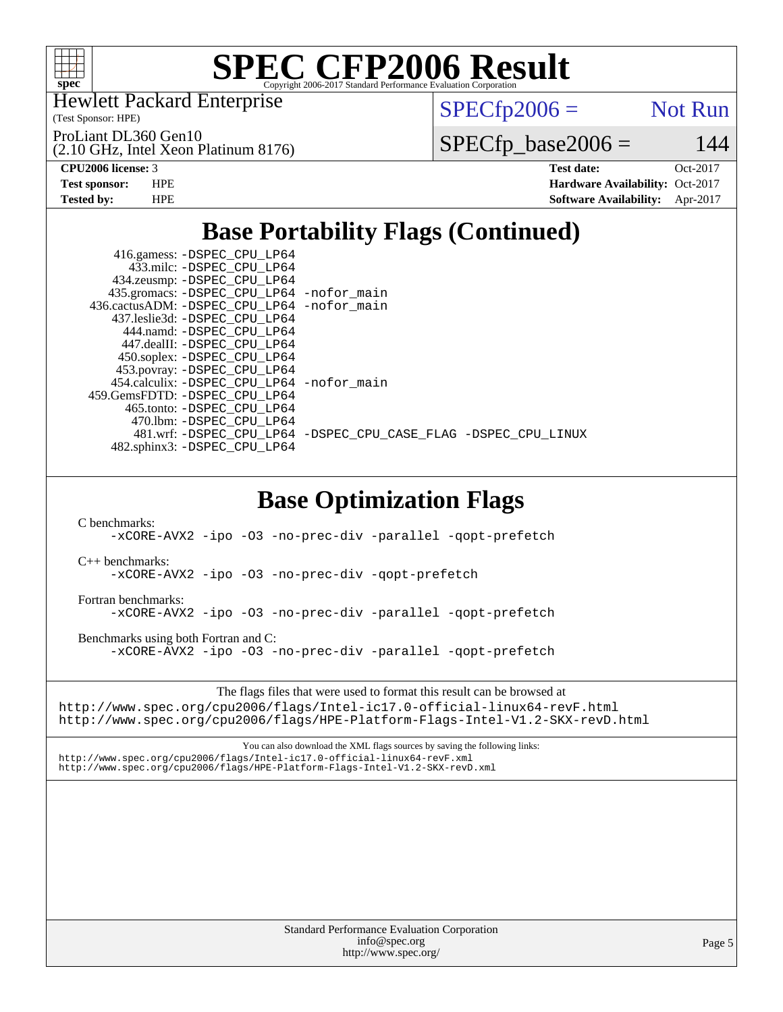

Hewlett Packard Enterprise

(2.10 GHz, Intel Xeon Platinum 8176)

(Test Sponsor: HPE)

ProLiant DL360 Gen10

 $SPECTp2006 =$  Not Run

 $SPECfp\_base2006 = 144$ 

**[CPU2006 license:](http://www.spec.org/auto/cpu2006/Docs/result-fields.html#CPU2006license)** 3 **[Test date:](http://www.spec.org/auto/cpu2006/Docs/result-fields.html#Testdate)** Oct-2017 **[Test sponsor:](http://www.spec.org/auto/cpu2006/Docs/result-fields.html#Testsponsor)** HPE **[Hardware Availability:](http://www.spec.org/auto/cpu2006/Docs/result-fields.html#HardwareAvailability)** Oct-2017 **[Tested by:](http://www.spec.org/auto/cpu2006/Docs/result-fields.html#Testedby)** HPE **[Software Availability:](http://www.spec.org/auto/cpu2006/Docs/result-fields.html#SoftwareAvailability)** Apr-2017

## **[Base Portability Flags \(Continued\)](http://www.spec.org/auto/cpu2006/Docs/result-fields.html#BasePortabilityFlags)**

| 416.gamess: -DSPEC_CPU_LP64<br>433.milc: -DSPEC CPU LP64 |                                                                |
|----------------------------------------------------------|----------------------------------------------------------------|
| 434.zeusmp: -DSPEC_CPU_LP64                              |                                                                |
| 435.gromacs: -DSPEC_CPU_LP64 -nofor_main                 |                                                                |
| 436.cactusADM: -DSPEC CPU LP64 -nofor main               |                                                                |
| 437.leslie3d: -DSPEC CPU LP64                            |                                                                |
| 444.namd: -DSPEC CPU LP64                                |                                                                |
| 447.dealII: -DSPEC CPU LP64                              |                                                                |
| 450.soplex: -DSPEC_CPU_LP64                              |                                                                |
| 453.povray: -DSPEC_CPU_LP64                              |                                                                |
| 454.calculix: -DSPEC CPU LP64 -nofor main                |                                                                |
| 459. GemsFDTD: - DSPEC CPU LP64                          |                                                                |
| 465.tonto: -DSPEC CPU LP64                               |                                                                |
| 470.1bm: - DSPEC CPU LP64                                |                                                                |
|                                                          | 481.wrf: -DSPEC CPU_LP64 -DSPEC_CPU_CASE_FLAG -DSPEC_CPU_LINUX |
| 482.sphinx3: -DSPEC CPU LP64                             |                                                                |
|                                                          |                                                                |

## **[Base Optimization Flags](http://www.spec.org/auto/cpu2006/Docs/result-fields.html#BaseOptimizationFlags)**

[C benchmarks](http://www.spec.org/auto/cpu2006/Docs/result-fields.html#Cbenchmarks):

[-xCORE-AVX2](http://www.spec.org/cpu2006/results/res2017q4/cpu2006-20171031-50485.flags.html#user_CCbase_f-xCORE-AVX2) [-ipo](http://www.spec.org/cpu2006/results/res2017q4/cpu2006-20171031-50485.flags.html#user_CCbase_f-ipo) [-O3](http://www.spec.org/cpu2006/results/res2017q4/cpu2006-20171031-50485.flags.html#user_CCbase_f-O3) [-no-prec-div](http://www.spec.org/cpu2006/results/res2017q4/cpu2006-20171031-50485.flags.html#user_CCbase_f-no-prec-div) [-parallel](http://www.spec.org/cpu2006/results/res2017q4/cpu2006-20171031-50485.flags.html#user_CCbase_f-parallel) [-qopt-prefetch](http://www.spec.org/cpu2006/results/res2017q4/cpu2006-20171031-50485.flags.html#user_CCbase_f-qopt-prefetch)

[C++ benchmarks:](http://www.spec.org/auto/cpu2006/Docs/result-fields.html#CXXbenchmarks)

[-xCORE-AVX2](http://www.spec.org/cpu2006/results/res2017q4/cpu2006-20171031-50485.flags.html#user_CXXbase_f-xCORE-AVX2) [-ipo](http://www.spec.org/cpu2006/results/res2017q4/cpu2006-20171031-50485.flags.html#user_CXXbase_f-ipo) [-O3](http://www.spec.org/cpu2006/results/res2017q4/cpu2006-20171031-50485.flags.html#user_CXXbase_f-O3) [-no-prec-div](http://www.spec.org/cpu2006/results/res2017q4/cpu2006-20171031-50485.flags.html#user_CXXbase_f-no-prec-div) [-qopt-prefetch](http://www.spec.org/cpu2006/results/res2017q4/cpu2006-20171031-50485.flags.html#user_CXXbase_f-qopt-prefetch)

[Fortran benchmarks](http://www.spec.org/auto/cpu2006/Docs/result-fields.html#Fortranbenchmarks):

[-xCORE-AVX2](http://www.spec.org/cpu2006/results/res2017q4/cpu2006-20171031-50485.flags.html#user_FCbase_f-xCORE-AVX2) [-ipo](http://www.spec.org/cpu2006/results/res2017q4/cpu2006-20171031-50485.flags.html#user_FCbase_f-ipo) [-O3](http://www.spec.org/cpu2006/results/res2017q4/cpu2006-20171031-50485.flags.html#user_FCbase_f-O3) [-no-prec-div](http://www.spec.org/cpu2006/results/res2017q4/cpu2006-20171031-50485.flags.html#user_FCbase_f-no-prec-div) [-parallel](http://www.spec.org/cpu2006/results/res2017q4/cpu2006-20171031-50485.flags.html#user_FCbase_f-parallel) [-qopt-prefetch](http://www.spec.org/cpu2006/results/res2017q4/cpu2006-20171031-50485.flags.html#user_FCbase_f-qopt-prefetch)

[Benchmarks using both Fortran and C](http://www.spec.org/auto/cpu2006/Docs/result-fields.html#BenchmarksusingbothFortranandC):

[-xCORE-AVX2](http://www.spec.org/cpu2006/results/res2017q4/cpu2006-20171031-50485.flags.html#user_CC_FCbase_f-xCORE-AVX2) [-ipo](http://www.spec.org/cpu2006/results/res2017q4/cpu2006-20171031-50485.flags.html#user_CC_FCbase_f-ipo) [-O3](http://www.spec.org/cpu2006/results/res2017q4/cpu2006-20171031-50485.flags.html#user_CC_FCbase_f-O3) [-no-prec-div](http://www.spec.org/cpu2006/results/res2017q4/cpu2006-20171031-50485.flags.html#user_CC_FCbase_f-no-prec-div) [-parallel](http://www.spec.org/cpu2006/results/res2017q4/cpu2006-20171031-50485.flags.html#user_CC_FCbase_f-parallel) [-qopt-prefetch](http://www.spec.org/cpu2006/results/res2017q4/cpu2006-20171031-50485.flags.html#user_CC_FCbase_f-qopt-prefetch)

The flags files that were used to format this result can be browsed at

<http://www.spec.org/cpu2006/flags/Intel-ic17.0-official-linux64-revF.html> <http://www.spec.org/cpu2006/flags/HPE-Platform-Flags-Intel-V1.2-SKX-revD.html>

You can also download the XML flags sources by saving the following links: <http://www.spec.org/cpu2006/flags/Intel-ic17.0-official-linux64-revF.xml> <http://www.spec.org/cpu2006/flags/HPE-Platform-Flags-Intel-V1.2-SKX-revD.xml>